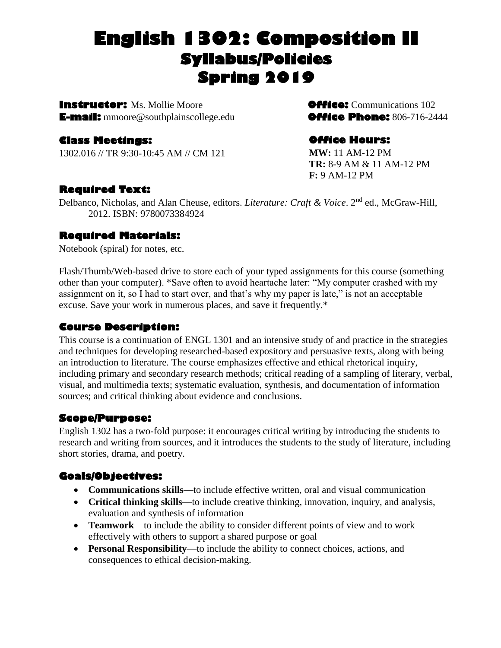# **English 1302: Composition II Syllabus/Policies Spring 2019**

**Instructor:** Ms. Mollie Moore**Office:** Communications 102 **E-mail:** mmoore@southplainscollege.edu**Office Phone:** 806-716-2444

#### **Class Meetings:**

1302.016 // TR 9:30-10:45 AM // CM 121

#### **Office Hours:**

**MW:** 11 AM-12 PM **TR:** 8-9 AM & 11 AM-12 PM **F:** 9 AM-12 PM

#### **Required Text:**

Delbanco, Nicholas, and Alan Cheuse, editors. *Literature: Craft & Voice*. 2nd ed., McGraw-Hill, 2012. ISBN: 9780073384924

#### **Required Materials:**

Notebook (spiral) for notes, etc.

Flash/Thumb/Web-based drive to store each of your typed assignments for this course (something other than your computer). \*Save often to avoid heartache later: "My computer crashed with my assignment on it, so I had to start over, and that's why my paper is late," is not an acceptable excuse. Save your work in numerous places, and save it frequently.\*

#### **Course Description:**

This course is a continuation of ENGL 1301 and an intensive study of and practice in the strategies and techniques for developing researched-based expository and persuasive texts, along with being an introduction to literature. The course emphasizes effective and ethical rhetorical inquiry, including primary and secondary research methods; critical reading of a sampling of literary, verbal, visual, and multimedia texts; systematic evaluation, synthesis, and documentation of information sources; and critical thinking about evidence and conclusions.

#### **Scope/Purpose:**

English 1302 has a two-fold purpose: it encourages critical writing by introducing the students to research and writing from sources, and it introduces the students to the study of literature, including short stories, drama, and poetry.

### **Goals/Objectives:**

- **Communications skills**—to include effective written, oral and visual communication
- **Critical thinking skills**—to include creative thinking, innovation, inquiry, and analysis, evaluation and synthesis of information
- **Teamwork**—to include the ability to consider different points of view and to work effectively with others to support a shared purpose or goal
- **Personal Responsibility**—to include the ability to connect choices, actions, and consequences to ethical decision-making.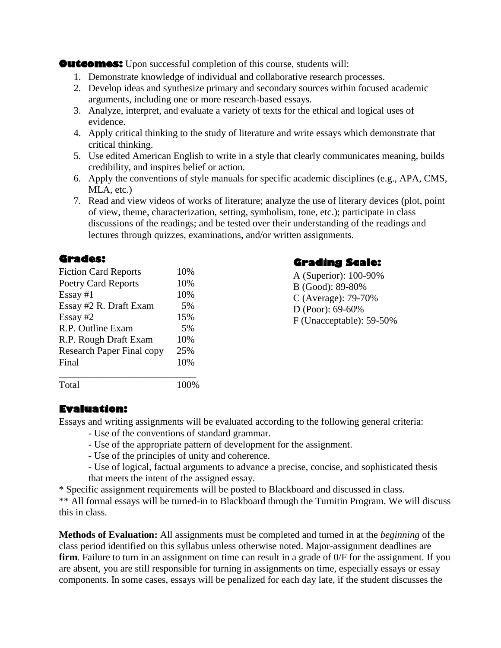**Outcomes:** Upon successful completion of this course, students will:

- 1. Demonstrate knowledge of individual and collaborative research processes.
- 2. Develop ideas and synthesize primary and secondary sources within focused academic arguments, including one or more research-based essays.
- 3. Analyze, interpret, and evaluate a variety of texts for the ethical and logical uses of evidence.
- 4. Apply critical thinking to the study of literature and write essays which demonstrate that critical thinking.
- 5. Use edited American English to write in a style that clearly communicates meaning, builds credibility, and inspires belief or action.
- 6. Apply the conventions of style manuals for specific academic disciplines (e.g., APA, CMS, MLA, etc.)
- 7. Read and view videos of works of literature; analyze the use of literary devices (plot, point of view, theme, characterization, setting, symbolism, tone, etc.); participate in class discussions of the readings; and be tested over their understanding of the readings and lectures through quizzes, examinations, and/or written assignments.

#### **Grades:**

| <b>Fiction Card Reports</b>      | 10% |
|----------------------------------|-----|
| <b>Poetry Card Reports</b>       | 10% |
| $Essay \#1$                      | 10% |
| Essay #2 R. Draft Exam           | 5%  |
| Essay $#2$                       | 15% |
| R.P. Outline Exam                | 5%  |
| R.P. Rough Draft Exam            | 10% |
| <b>Research Paper Final copy</b> | 25% |
| Final                            | 10% |
|                                  |     |

Total 100%

**Grading Scale:** 

A (Superior): 100-90% B (Good): 89-80% C (Average): 79-70% D (Poor): 69-60% F (Unacceptable): 59-50%

### **Evaluation:**

Essays and writing assignments will be evaluated according to the following general criteria:

- Use of the conventions of standard grammar.
- Use of the appropriate pattern of development for the assignment.
- Use of the principles of unity and coherence.
- Use of logical, factual arguments to advance a precise, concise, and sophisticated thesis that meets the intent of the assigned essay.

\* Specific assignment requirements will be posted to Blackboard and discussed in class. \*\* All formal essays will be turned-in to Blackboard through the Turnitin Program. We will discuss this in class.

**Methods of Evaluation:** All assignments must be completed and turned in at the *beginning* of the class period identified on this syllabus unless otherwise noted. Major-assignment deadlines are **firm**. Failure to turn in an assignment on time can result in a grade of  $0/F$  for the assignment. If you are absent, you are still responsible for turning in assignments on time, especially essays or essay components. In some cases, essays will be penalized for each day late, if the student discusses the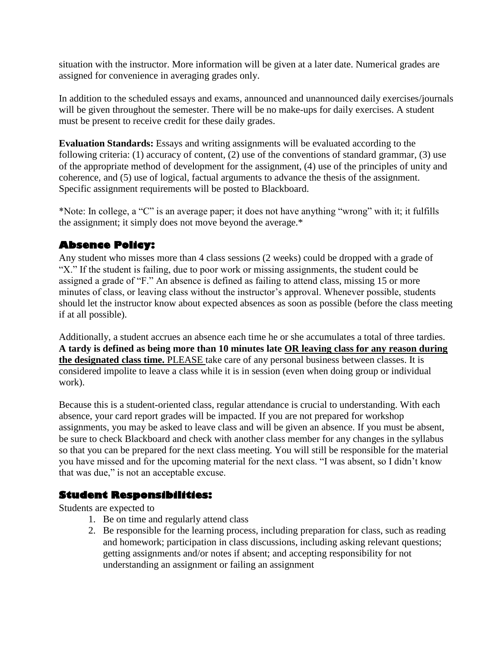situation with the instructor. More information will be given at a later date. Numerical grades are assigned for convenience in averaging grades only.

In addition to the scheduled essays and exams, announced and unannounced daily exercises/journals will be given throughout the semester. There will be no make-ups for daily exercises. A student must be present to receive credit for these daily grades.

**Evaluation Standards:** Essays and writing assignments will be evaluated according to the following criteria: (1) accuracy of content, (2) use of the conventions of standard grammar, (3) use of the appropriate method of development for the assignment, (4) use of the principles of unity and coherence, and (5) use of logical, factual arguments to advance the thesis of the assignment. Specific assignment requirements will be posted to Blackboard.

\*Note: In college, a "C" is an average paper; it does not have anything "wrong" with it; it fulfills the assignment; it simply does not move beyond the average.\*

#### **Absence Policy:**

Any student who misses more than 4 class sessions (2 weeks) could be dropped with a grade of "X." If the student is failing, due to poor work or missing assignments, the student could be assigned a grade of "F." An absence is defined as failing to attend class, missing 15 or more minutes of class, or leaving class without the instructor's approval. Whenever possible, students should let the instructor know about expected absences as soon as possible (before the class meeting if at all possible).

Additionally, a student accrues an absence each time he or she accumulates a total of three tardies. **A tardy is defined as being more than 10 minutes late OR leaving class for any reason during the designated class time.** PLEASE take care of any personal business between classes. It is considered impolite to leave a class while it is in session (even when doing group or individual work).

Because this is a student-oriented class, regular attendance is crucial to understanding. With each absence, your card report grades will be impacted. If you are not prepared for workshop assignments, you may be asked to leave class and will be given an absence. If you must be absent, be sure to check Blackboard and check with another class member for any changes in the syllabus so that you can be prepared for the next class meeting. You will still be responsible for the material you have missed and for the upcoming material for the next class. "I was absent, so I didn't know that was due," is not an acceptable excuse.

#### **Student Responsibilities:**

Students are expected to

- 1. Be on time and regularly attend class
- 2. Be responsible for the learning process, including preparation for class, such as reading and homework; participation in class discussions, including asking relevant questions; getting assignments and/or notes if absent; and accepting responsibility for not understanding an assignment or failing an assignment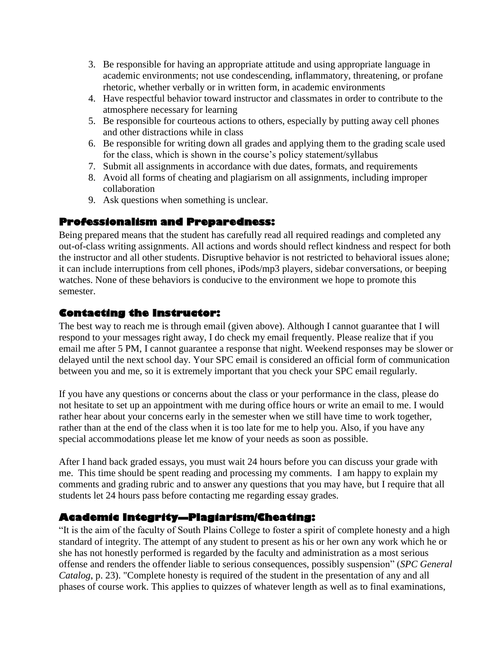- 3. Be responsible for having an appropriate attitude and using appropriate language in academic environments; not use condescending, inflammatory, threatening, or profane rhetoric, whether verbally or in written form, in academic environments
- 4. Have respectful behavior toward instructor and classmates in order to contribute to the atmosphere necessary for learning
- 5. Be responsible for courteous actions to others, especially by putting away cell phones and other distractions while in class
- 6. Be responsible for writing down all grades and applying them to the grading scale used for the class, which is shown in the course's policy statement/syllabus
- 7. Submit all assignments in accordance with due dates, formats, and requirements
- 8. Avoid all forms of cheating and plagiarism on all assignments, including improper collaboration
- 9. Ask questions when something is unclear.

#### **Professionalism and Preparedness:**

Being prepared means that the student has carefully read all required readings and completed any out-of-class writing assignments. All actions and words should reflect kindness and respect for both the instructor and all other students. Disruptive behavior is not restricted to behavioral issues alone; it can include interruptions from cell phones, iPods/mp3 players, sidebar conversations, or beeping watches. None of these behaviors is conducive to the environment we hope to promote this semester.

#### **Contacting the Instructor:**

The best way to reach me is through email (given above). Although I cannot guarantee that I will respond to your messages right away, I do check my email frequently. Please realize that if you email me after 5 PM, I cannot guarantee a response that night. Weekend responses may be slower or delayed until the next school day. Your SPC email is considered an official form of communication between you and me, so it is extremely important that you check your SPC email regularly.

If you have any questions or concerns about the class or your performance in the class, please do not hesitate to set up an appointment with me during office hours or write an email to me. I would rather hear about your concerns early in the semester when we still have time to work together, rather than at the end of the class when it is too late for me to help you. Also, if you have any special accommodations please let me know of your needs as soon as possible.

After I hand back graded essays, you must wait 24 hours before you can discuss your grade with me. This time should be spent reading and processing my comments. I am happy to explain my comments and grading rubric and to answer any questions that you may have, but I require that all students let 24 hours pass before contacting me regarding essay grades.

#### **Academic Integrity—Plagiarism/Cheating:**

"It is the aim of the faculty of South Plains College to foster a spirit of complete honesty and a high standard of integrity. The attempt of any student to present as his or her own any work which he or she has not honestly performed is regarded by the faculty and administration as a most serious offense and renders the offender liable to serious consequences, possibly suspension" (*SPC General Catalog*, p. 23). "Complete honesty is required of the student in the presentation of any and all phases of course work. This applies to quizzes of whatever length as well as to final examinations,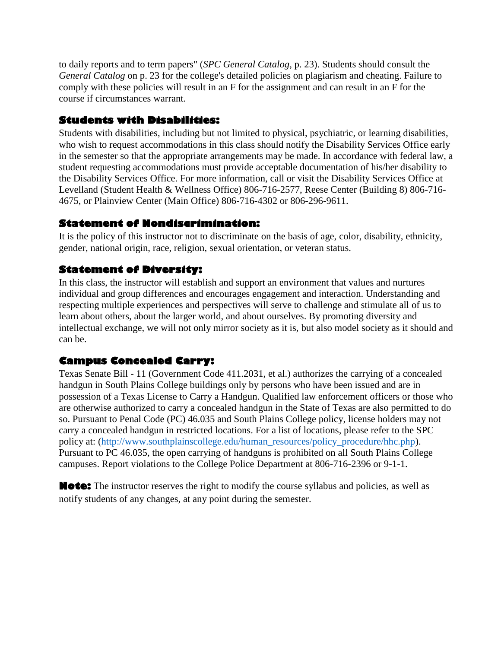to daily reports and to term papers" (*SPC General Catalog*, p. 23). Students should consult the *General Catalog* on p. 23 for the college's detailed policies on plagiarism and cheating. Failure to comply with these policies will result in an F for the assignment and can result in an F for the course if circumstances warrant.

#### **Students with Disabilities:**

Students with disabilities, including but not limited to physical, psychiatric, or learning disabilities, who wish to request accommodations in this class should notify the Disability Services Office early in the semester so that the appropriate arrangements may be made. In accordance with federal law, a student requesting accommodations must provide acceptable documentation of his/her disability to the Disability Services Office. For more information, call or visit the Disability Services Office at Levelland (Student Health & Wellness Office) 806-716-2577, Reese Center (Building 8) 806-716- 4675, or Plainview Center (Main Office) 806-716-4302 or 806-296-9611.

#### **Statement of Nondiscrimination:**

It is the policy of this instructor not to discriminate on the basis of age, color, disability, ethnicity, gender, national origin, race, religion, sexual orientation, or veteran status.

#### **Statement of Diversity:**

In this class, the instructor will establish and support an environment that values and nurtures individual and group differences and encourages engagement and interaction. Understanding and respecting multiple experiences and perspectives will serve to challenge and stimulate all of us to learn about others, about the larger world, and about ourselves. By promoting diversity and intellectual exchange, we will not only mirror society as it is, but also model society as it should and can be.

### **Campus Concealed Carry:**

Texas Senate Bill - 11 (Government Code 411.2031, et al.) authorizes the carrying of a concealed handgun in South Plains College buildings only by persons who have been issued and are in possession of a Texas License to Carry a Handgun. Qualified law enforcement officers or those who are otherwise authorized to carry a concealed handgun in the State of Texas are also permitted to do so. Pursuant to Penal Code (PC) 46.035 and South Plains College policy, license holders may not carry a concealed handgun in restricted locations. For a list of locations, please refer to the SPC policy at: [\(http://www.southplainscollege.edu/human\\_resources/policy\\_procedure/hhc.php\)](http://www.southplainscollege.edu/human_resources/policy_procedure/hhc.php). Pursuant to PC 46.035, the open carrying of handguns is prohibited on all South Plains College campuses. Report violations to the College Police Department at 806-716-2396 or 9-1-1.

**Note:** The instructor reserves the right to modify the course syllabus and policies, as well as notify students of any changes, at any point during the semester.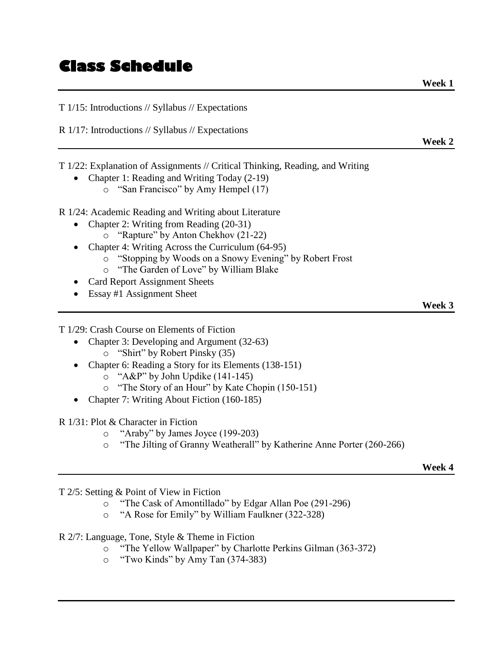## **Class Schedule**

T 1/15: Introductions // Syllabus // Expectations

R 1/17: Introductions // Syllabus // Expectations

T 1/22: Explanation of Assignments // Critical Thinking, Reading, and Writing

- Chapter 1: Reading and Writing Today (2-19)
	- o "San Francisco" by Amy Hempel (17)

R 1/24: Academic Reading and Writing about Literature

- Chapter 2: Writing from Reading (20-31)
	- o "Rapture" by Anton Chekhov (21-22)
- Chapter 4: Writing Across the Curriculum (64-95)
	- o "Stopping by Woods on a Snowy Evening" by Robert Frost
	- o "The Garden of Love" by William Blake
- Card Report Assignment Sheets
- Essay #1 Assignment Sheet

T 1/29: Crash Course on Elements of Fiction

- Chapter 3: Developing and Argument (32-63)
	- o "Shirt" by Robert Pinsky (35)
- Chapter 6: Reading a Story for its Elements (138-151)
	- o "A&P" by John Updike (141-145)
	- o "The Story of an Hour" by Kate Chopin (150-151)
- Chapter 7: Writing About Fiction (160-185)
- R 1/31: Plot & Character in Fiction
	- o "Araby" by James Joyce (199-203)
	- o "The Jilting of Granny Weatherall" by Katherine Anne Porter (260-266)

**Week 4**

- T 2/5: Setting & Point of View in Fiction
	- o "The Cask of Amontillado" by Edgar Allan Poe (291-296)
	- o "A Rose for Emily" by William Faulkner (322-328)
- R 2/7: Language, Tone, Style & Theme in Fiction
	- o "The Yellow Wallpaper" by Charlotte Perkins Gilman (363-372)
	- o "Two Kinds" by Amy Tan (374-383)

**Week 2**

**Week 3**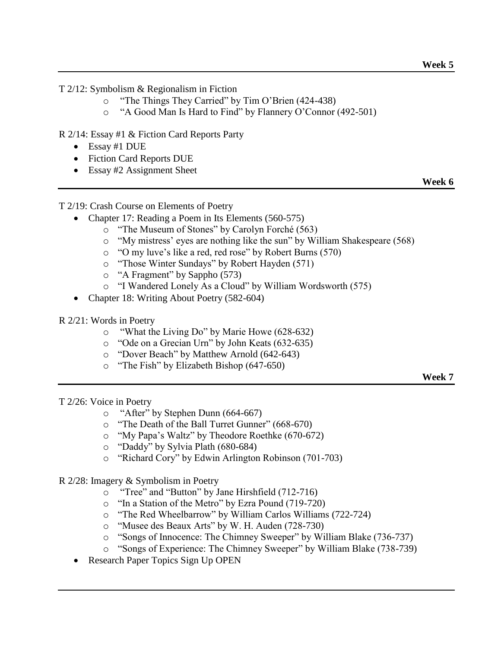T 2/12: Symbolism & Regionalism in Fiction

- o "The Things They Carried" by Tim O'Brien (424-438)
- o "A Good Man Is Hard to Find" by Flannery O'Connor (492-501)

R 2/14: Essay #1 & Fiction Card Reports Party

- Essay #1 DUE
- Fiction Card Reports DUE
- Essay #2 Assignment Sheet

**Week 6**

T 2/19: Crash Course on Elements of Poetry

- Chapter 17: Reading a Poem in Its Elements (560-575)
	- o "The Museum of Stones" by Carolyn Forché (563)
	- o "My mistress' eyes are nothing like the sun" by William Shakespeare (568)
	- o "O my luve's like a red, red rose" by Robert Burns (570)
	- o "Those Winter Sundays" by Robert Hayden (571)
	- o "A Fragment" by Sappho (573)
	- o "I Wandered Lonely As a Cloud" by William Wordsworth (575)
- Chapter 18: Writing About Poetry (582-604)
- R 2/21: Words in Poetry
	- o "What the Living Do" by Marie Howe (628-632)
	- o "Ode on a Grecian Urn" by John Keats (632-635)
	- o "Dover Beach" by Matthew Arnold (642-643)
	- o "The Fish" by Elizabeth Bishop (647-650)

**Week 7**

T 2/26: Voice in Poetry

- o "After" by Stephen Dunn (664-667)
- o "The Death of the Ball Turret Gunner" (668-670)
- o "My Papa's Waltz" by Theodore Roethke (670-672)
- o "Daddy" by Sylvia Plath (680-684)
- o "Richard Cory" by Edwin Arlington Robinson (701-703)
- R 2/28: Imagery & Symbolism in Poetry
	- o "Tree" and "Button" by Jane Hirshfield (712-716)
	- o "In a Station of the Metro" by Ezra Pound (719-720)
	- o "The Red Wheelbarrow" by William Carlos Williams (722-724)
	- o "Musee des Beaux Arts" by W. H. Auden (728-730)
	- o "Songs of Innocence: The Chimney Sweeper" by William Blake (736-737)
	- o "Songs of Experience: The Chimney Sweeper" by William Blake (738-739)
	- Research Paper Topics Sign Up OPEN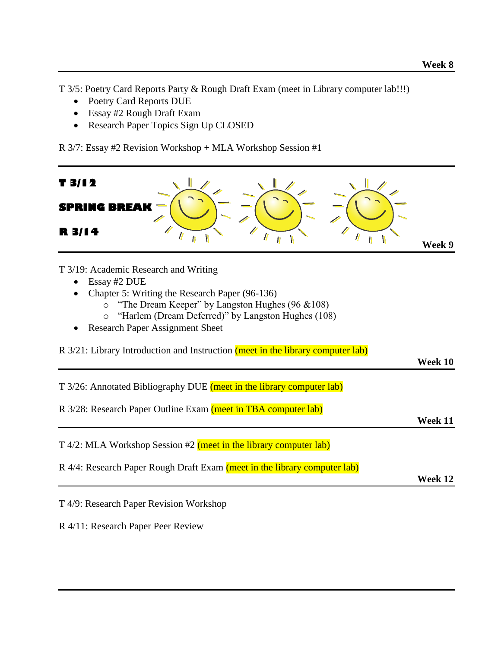T 3/5: Poetry Card Reports Party & Rough Draft Exam (meet in Library computer lab!!!)

- Poetry Card Reports DUE
- Essay #2 Rough Draft Exam
- Research Paper Topics Sign Up CLOSED

R 3/7: Essay #2 Revision Workshop + MLA Workshop Session #1



- Essay #2 DUE
- Chapter 5: Writing the Research Paper (96-136)
	- o "The Dream Keeper" by Langston Hughes (96 &108)
		- o "Harlem (Dream Deferred)" by Langston Hughes (108)
- Research Paper Assignment Sheet

R 3/21: Library Introduction and Instruction (meet in the library computer lab)

**Week 10**

T 3/26: Annotated Bibliography DUE (meet in the library computer lab)

R 3/28: Research Paper Outline Exam (meet in TBA computer lab)

**Week 11**

T 4/2: MLA Workshop Session #2 (meet in the library computer lab)

R 4/4: Research Paper Rough Draft Exam (meet in the library computer lab)

**Week 12**

T 4/9: Research Paper Revision Workshop

R 4/11: Research Paper Peer Review